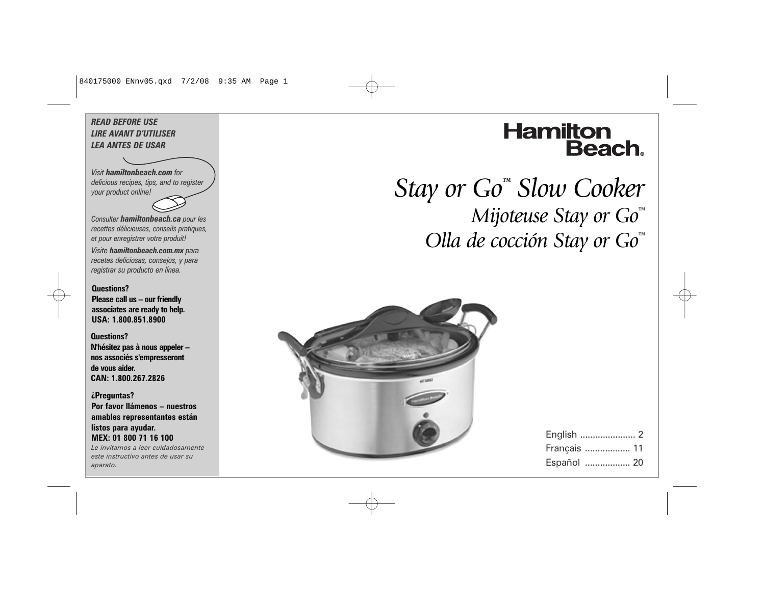840175000 ENnv05.qxd 7/2/08 9:35 AM Page 1

### *READ BEFORE USE LIRE AVANT D'UTILISER LEA ANTES DE USAR*

*Visit hamiltonbeach.com for delicious recipes, tips, and to register your product online!*



*Consulter hamiltonbeach.ca pour les recettes délicieuses, conseils pratiques, et pour enregistrer votre produit! Visite hamiltonbeach.com.mx para* 

*recetas deliciosas, consejos, y para registrar su producto en línea.*

#### **Questions?**

**Please call us – our friendly associates are ready to help. USA: 1.800.851.8900**

**Questions?** 

**N'hésitez pas à nous appeler – nos associés s'empresseront de vous aider. CAN: 1.800.267.2826**

**¿Preguntas? Por favor llámenos – nuestros amables representantes están listos para ayudar. MEX: 01 800 71 16 100** *Le invitamos a leer cuidadosamente este instructivo antes de usar su aparato.*

### **Hamilton Beach**

*Stay or Go™ Slow Cooker Mijoteuse Stay or Go™ Olla de cocción Stay or Go™*



English ...................... 2 Français .................. 11 Español .................. 20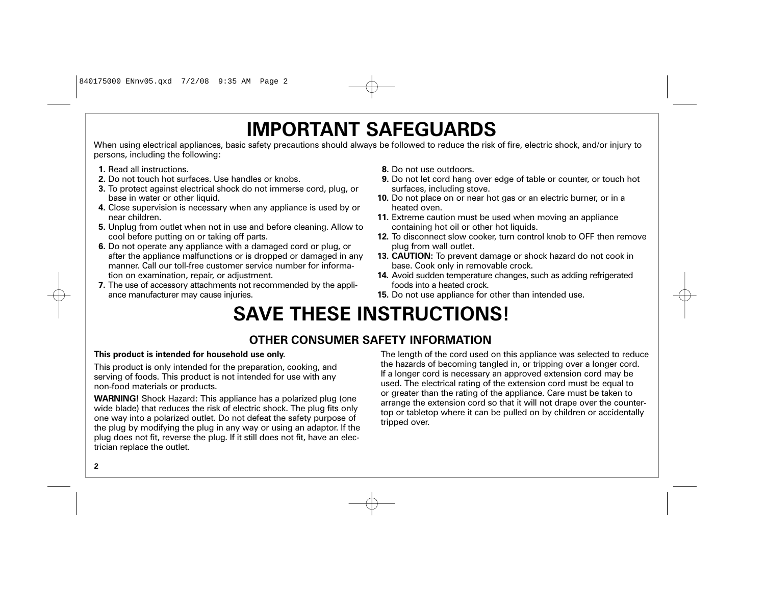### **IMPORTANT SAFEGUARDS**

When using electrical appliances, basic safety precautions should always be followed to reduce the risk of fire, electric shock, and/or injury to persons, including the following:

- **1.** Read all instructions.
- **2.** Do not touch hot surfaces. Use handles or knobs.
- **3.** To protect against electrical shock do not immerse cord, plug, or base in water or other liquid.
- **4.** Close supervision is necessary when any appliance is used by or near children.
- **5.** Unplug from outlet when not in use and before cleaning. Allow to cool before putting on or taking off parts.
- **6.** Do not operate any appliance with a damaged cord or plug, or after the appliance malfunctions or is dropped or damaged in any manner. Call our toll-free customer service number for information on examination, repair, or adjustment.
- **7.** The use of accessory attachments not recommended by the appliance manufacturer may cause injuries.
- **8.** Do not use outdoors.
- **9.** Do not let cord hang over edge of table or counter, or touch hot surfaces, including stove.
- **10.** Do not place on or near hot gas or an electric burner, or in a heated oven.
- **11.** Extreme caution must be used when moving an appliance containing hot oil or other hot liquids.
- **12.** To disconnect slow cooker, turn control knob to OFF then remove plug from wall outlet.
- **13. CAUTION:** To prevent damage or shock hazard do not cook in base. Cook only in removable crock.
- **14.** Avoid sudden temperature changes, such as adding refrigerated foods into a heated crock.
- **15.** Do not use appliance for other than intended use.

### **SAVE THESE INSTRUCTIONS!**

### **OTHER CONSUMER SAFETY INFORMATION**

#### **This product is intended for household use only.**

This product is only intended for the preparation, cooking, and serving of foods. This product is not intended for use with any non-food materials or products.

**WARNING!** Shock Hazard: This appliance has a polarized plug (one wide blade) that reduces the risk of electric shock. The plug fits only one way into a polarized outlet. Do not defeat the safety purpose of the plug by modifying the plug in any way or using an adaptor. If the plug does not fit, reverse the plug. If it still does not fit, have an electrician replace the outlet.

The length of the cord used on this appliance was selected to reduce the hazards of becoming tangled in, or tripping over a longer cord. If a longer cord is necessary an approved extension cord may be used. The electrical rating of the extension cord must be equal to or greater than the rating of the appliance. Care must be taken to arrange the extension cord so that it will not drape over the countertop or tabletop where it can be pulled on by children or accidentally tripped over.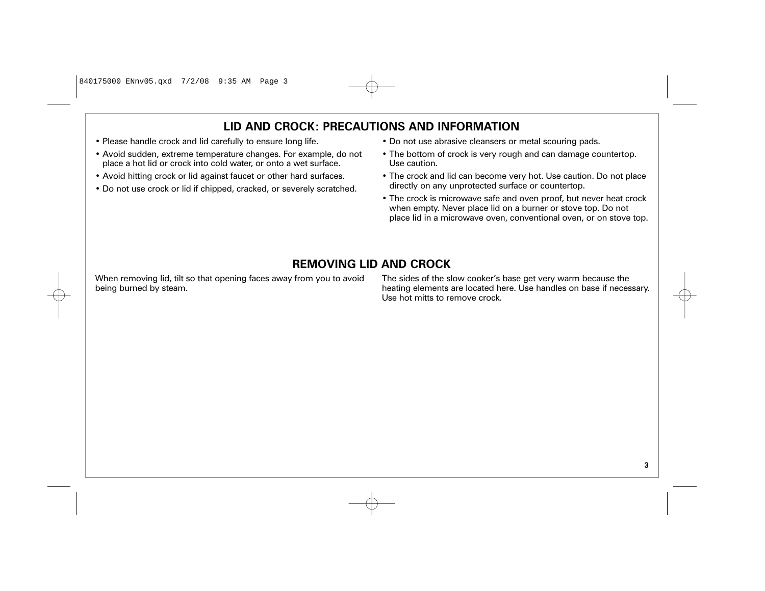

- Please handle crock and lid carefully to ensure long life.
- Avoid sudden, extreme temperature changes. For example, do not place a hot lid or crock into cold water, or onto a wet surface.
- Avoid hitting crock or lid against faucet or other hard surfaces.
- Do not use crock or lid if chipped, cracked, or severely scratched.
- Do not use abrasive cleansers or metal scouring pads.
- The bottom of crock is very rough and can damage countertop. Use caution.
- The crock and lid can become very hot. Use caution. Do not place directly on any unprotected surface or countertop.
- The crock is microwave safe and oven proof, but never heat crock when empty. Never place lid on a burner or stove top. Do not place lid in a microwave oven, conventional oven, or on stove top.

### **REMOVING LID AND CROCK**

When removing lid, tilt so that opening faces away from you to avoid being burned by steam.

The sides of the slow cooker's base get very warm because the heating elements are located here. Use handles on base if necessary. Use hot mitts to remove crock.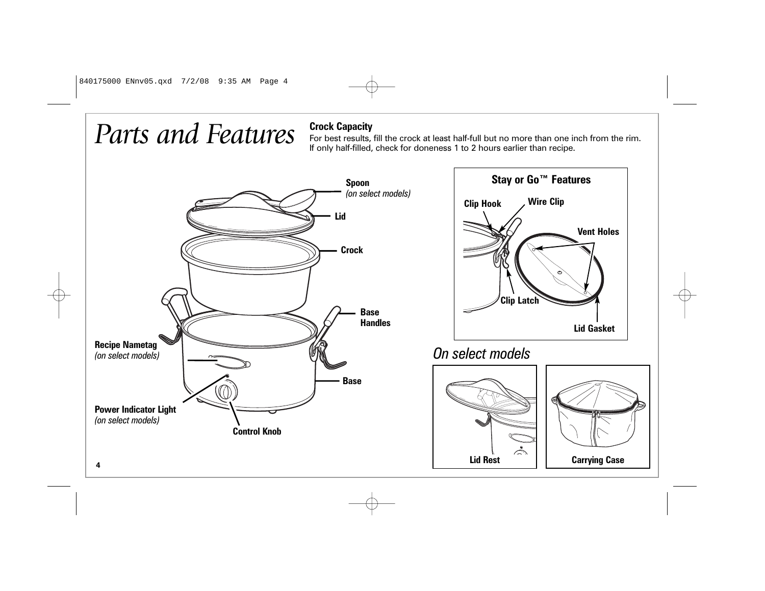840175000 ENnv05.qxd 7/2/08 9:35 AM Page 4

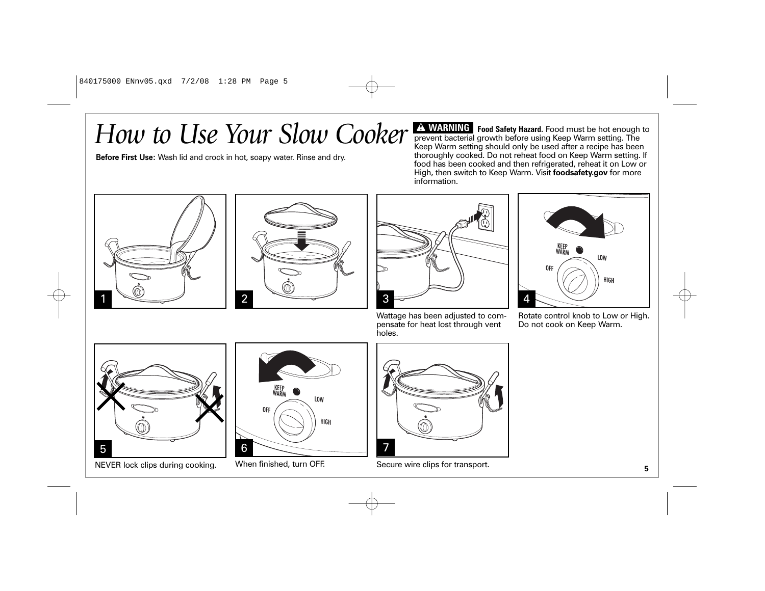840175000 ENnv05.qxd 7/2/08 1:28 PM Page 5

## *How to Use Your Slow Cooker*

**Before First Use:** Wash lid and crock in hot, soapy water. Rinse and dry.

**Food Safety Hazard.** Food must be hot enough to prevent bacterial growth before using Keep Warm setting. The Keep Warm setting should only be used after a recipe has been thoroughly cooked. Do not reheat food on Keep Warm setting. If food has been cooked and then refrigerated, reheat it on Low or High, then switch to Keep Warm. Visit **foodsafety.gov** for more information. **A** WARNING







pensate for heat lost through vent

holes.



Rotate control knob to Low or High. Do not cook on Keep Warm.





When finished, turn OFF.



Secure wire clips for transport.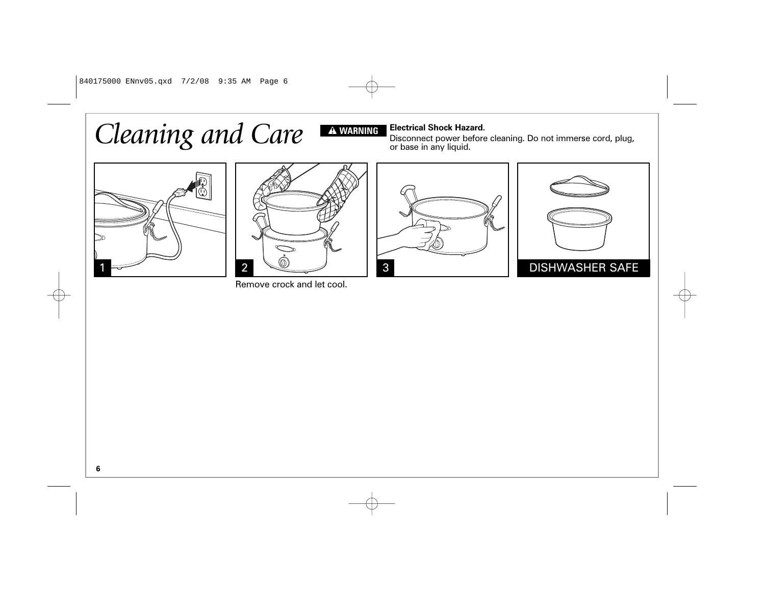840175000 ENnv05.qxd 7/2/08 9:35 AM Page 6

*Cleaning and Care*

#### **Electrical Shock Hazard. A** WARNING

Disconnect power before cleaning. Do not immerse cord, plug, or base in any liquid.







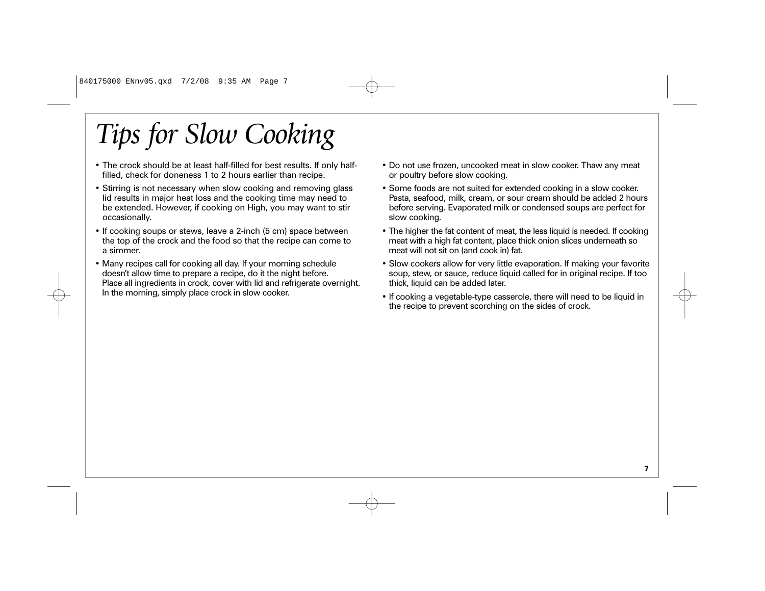# *Tips for Slow Cooking*

- The crock should be at least half-filled for best results. If only halffilled, check for doneness 1 to 2 hours earlier than recipe.
- Stirring is not necessary when slow cooking and removing glass lid results in major heat loss and the cooking time may need to be extended. However, if cooking on High, you may want to stir occasionally.
- If cooking soups or stews, leave a 2-inch (5 cm) space between the top of the crock and the food so that the recipe can come to a simmer.
- Many recipes call for cooking all day. If your morning schedule doesn't allow time to prepare a recipe, do it the night before. Place all ingredients in crock, cover with lid and refrigerate overnight. In the morning, simply place crock in slow cooker.
- Do not use frozen, uncooked meat in slow cooker. Thaw any meat or poultry before slow cooking.
- Some foods are not suited for extended cooking in a slow cooker. Pasta, seafood, milk, cream, or sour cream should be added 2 hours before serving. Evaporated milk or condensed soups are perfect for slow cooking.
- The higher the fat content of meat, the less liquid is needed. If cooking meat with a high fat content, place thick onion slices underneath so meat will not sit on (and cook in) fat.
- Slow cookers allow for very little evaporation. If making your favorite soup, stew, or sauce, reduce liquid called for in original recipe. If too thick, liquid can be added later.
- If cooking a vegetable-type casserole, there will need to be liquid in the recipe to prevent scorching on the sides of crock.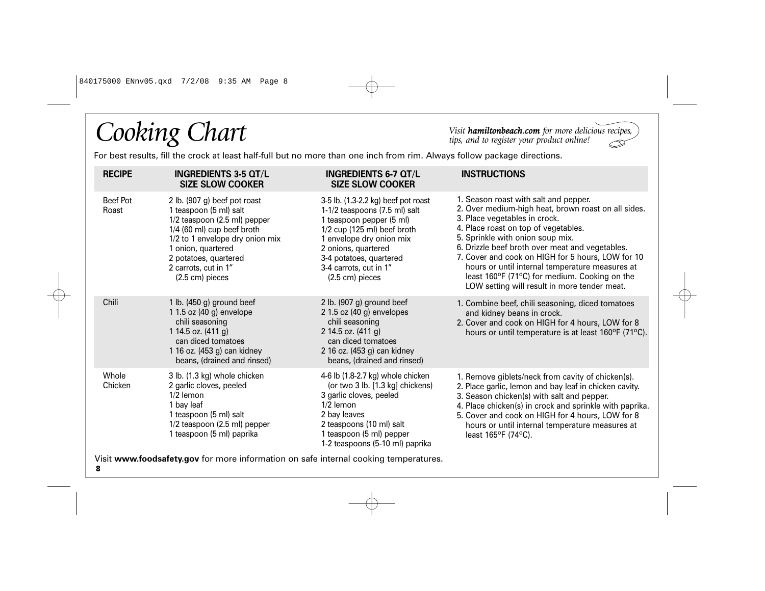|                          | Cooking Chart<br>For best results, fill the crock at least half-full but no more than one inch from rim. Always follow package directions.                                                                                                                  |                                                                                                                                                                                                                                                                      | Visit hamiltonbeach.com for more delicious recipes,<br>tips, and to register your product online!                                                                                                                                                                                                                                                                                                                                                                     |
|--------------------------|-------------------------------------------------------------------------------------------------------------------------------------------------------------------------------------------------------------------------------------------------------------|----------------------------------------------------------------------------------------------------------------------------------------------------------------------------------------------------------------------------------------------------------------------|-----------------------------------------------------------------------------------------------------------------------------------------------------------------------------------------------------------------------------------------------------------------------------------------------------------------------------------------------------------------------------------------------------------------------------------------------------------------------|
| <b>RECIPE</b>            | <b>INGREDIENTS 3-5 QT/L</b><br><b>SIZE SLOW COOKER</b>                                                                                                                                                                                                      | <b>INGREDIENTS 6-7 QT/L</b><br><b>SIZE SLOW COOKER</b>                                                                                                                                                                                                               | <b>INSTRUCTIONS</b>                                                                                                                                                                                                                                                                                                                                                                                                                                                   |
| <b>Beef Pot</b><br>Roast | 2 lb. (907 g) beef pot roast<br>1 teaspoon (5 ml) salt<br>1/2 teaspoon (2.5 ml) pepper<br>1/4 (60 ml) cup beef broth<br>1/2 to 1 envelope dry onion mix<br>1 onion, quartered<br>2 potatoes, quartered<br>2 carrots, cut in 1"<br>$(2.5 \text{ cm})$ pieces | 3-5 lb. (1.3-2.2 kg) beef pot roast<br>1-1/2 teaspoons (7.5 ml) salt<br>1 teaspoon pepper (5 ml)<br>1/2 cup (125 ml) beef broth<br>1 envelope dry onion mix<br>2 onions, quartered<br>3-4 potatoes, quartered<br>3-4 carrots, cut in 1"<br>$(2.5 \text{ cm})$ pieces | 1. Season roast with salt and pepper.<br>2. Over medium-high heat, brown roast on all sides.<br>3. Place vegetables in crock.<br>4. Place roast on top of vegetables.<br>5. Sprinkle with onion soup mix.<br>6. Drizzle beef broth over meat and vegetables.<br>7. Cover and cook on HIGH for 5 hours, LOW for 10<br>hours or until internal temperature measures at<br>least 160°F (71°C) for medium. Cooking on the<br>LOW setting will result in more tender meat. |
| Chili                    | 1 lb. (450 g) ground beef<br>1 1.5 oz $(40 g)$ envelope<br>chili seasoning<br>1 14.5 oz. (411 g)<br>can diced tomatoes<br>1 16 oz. (453 g) can kidney<br>beans, (drained and rinsed)                                                                        | 2 lb. (907 g) ground beef<br>2 1.5 oz $(40 g)$ envelopes<br>chili seasoning<br>2 14.5 oz. (411 g)<br>can diced tomatoes<br>2 16 oz. (453 g) can kidney<br>beans, (drained and rinsed)                                                                                | 1. Combine beef, chili seasoning, diced tomatoes<br>and kidney beans in crock.<br>2. Cover and cook on HIGH for 4 hours, LOW for 8<br>hours or until temperature is at least 160°F (71°C).                                                                                                                                                                                                                                                                            |
| Whole<br>Chicken         | 3 lb. (1.3 kg) whole chicken<br>2 garlic cloves, peeled<br>$1/2$ lemon<br>1 bay leaf<br>1 teaspoon (5 ml) salt<br>1/2 teaspoon (2.5 ml) pepper<br>1 teaspoon (5 ml) paprika                                                                                 | 4-6 lb (1.8-2.7 kg) whole chicken<br>(or two 3 lb. [1.3 kg] chickens)<br>3 garlic cloves, peeled<br>$1/2$ lemon<br>2 bay leaves<br>2 teaspoons (10 ml) salt<br>1 teaspoon (5 ml) pepper<br>1-2 teaspoons (5-10 ml) paprika                                           | 1. Remove giblets/neck from cavity of chicken(s).<br>2. Place garlic, lemon and bay leaf in chicken cavity.<br>3. Season chicken(s) with salt and pepper.<br>4. Place chicken(s) in crock and sprinkle with paprika.<br>5. Cover and cook on HIGH for 4 hours, LOW for 8<br>hours or until internal temperature measures at<br>least $165^{\circ}$ F (74 $^{\circ}$ C).                                                                                               |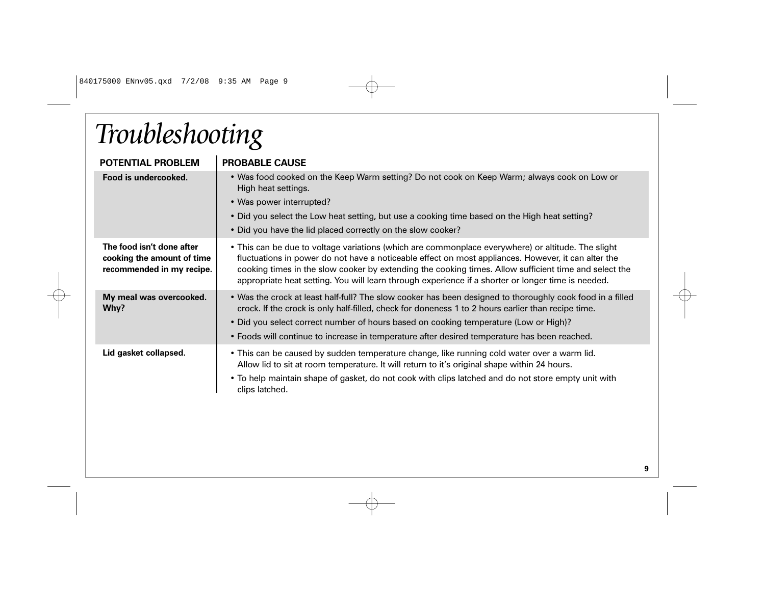# *Troubleshooting*

| <b>POTENTIAL PROBLEM</b>                                                             | <b>PROBABLE CAUSE</b>                                                                                                                                                                                                                                                                                                                                                                                                    |
|--------------------------------------------------------------------------------------|--------------------------------------------------------------------------------------------------------------------------------------------------------------------------------------------------------------------------------------------------------------------------------------------------------------------------------------------------------------------------------------------------------------------------|
| Food is undercooked.                                                                 | . Was food cooked on the Keep Warm setting? Do not cook on Keep Warm; always cook on Low or<br>High heat settings.<br>• Was power interrupted?<br>. Did you select the Low heat setting, but use a cooking time based on the High heat setting?<br>• Did you have the lid placed correctly on the slow cooker?                                                                                                           |
| The food isn't done after<br>cooking the amount of time<br>recommended in my recipe. | • This can be due to voltage variations (which are commonplace everywhere) or altitude. The slight<br>fluctuations in power do not have a noticeable effect on most appliances. However, it can alter the<br>cooking times in the slow cooker by extending the cooking times. Allow sufficient time and select the<br>appropriate heat setting. You will learn through experience if a shorter or longer time is needed. |
| My meal was overcooked.<br>Why?                                                      | . Was the crock at least half-full? The slow cooker has been designed to thoroughly cook food in a filled<br>crock. If the crock is only half-filled, check for doneness 1 to 2 hours earlier than recipe time.<br>• Did you select correct number of hours based on cooking temperature (Low or High)?<br>• Foods will continue to increase in temperature after desired temperature has been reached.                  |
| Lid gasket collapsed.                                                                | • This can be caused by sudden temperature change, like running cold water over a warm lid.<br>Allow lid to sit at room temperature. It will return to it's original shape within 24 hours.<br>• To help maintain shape of gasket, do not cook with clips latched and do not store empty unit with<br>clips latched.                                                                                                     |
|                                                                                      | Q                                                                                                                                                                                                                                                                                                                                                                                                                        |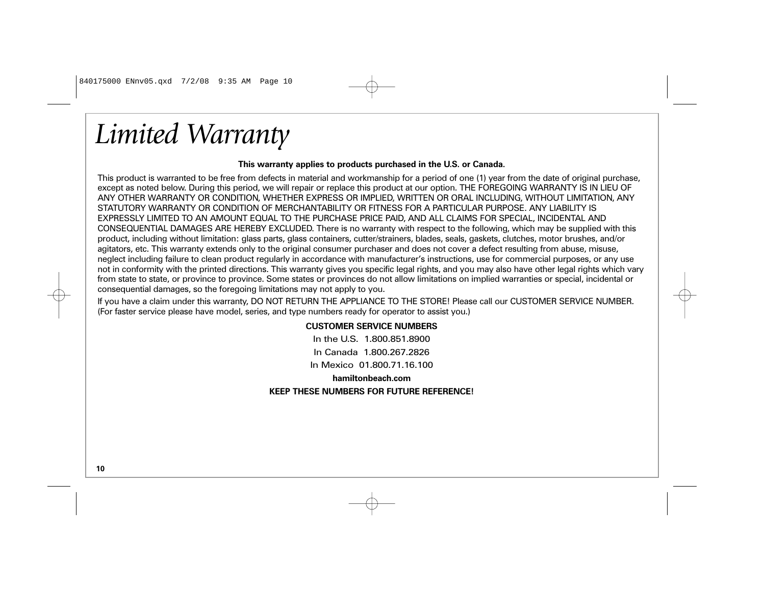840175000 ENnv05.qxd 7/2/08 9:35 AM Page 10

## *Limited Warranty*

#### **This warranty applies to products purchased in the U.S. or Canada.**

This product is warranted to be free from defects in material and workmanship for a period of one (1) year from the date of original purchase, except as noted below. During this period, we will repair or replace this product at our option. THE FOREGOING WARRANTY IS IN LIEU OF ANY OTHER WARRANTY OR CONDITION, WHETHER EXPRESS OR IMPLIED, WRITTEN OR ORAL INCLUDING, WITHOUT LIMITATION, ANY STATUTORY WARRANTY OR CONDITION OF MERCHANTABILITY OR FITNESS FOR A PARTICULAR PURPOSE. ANY LIABILITY IS EXPRESSLY LIMITED TO AN AMOUNT EQUAL TO THE PURCHASE PRICE PAID, AND ALL CLAIMS FOR SPECIAL, INCIDENTAL AND CONSEQUENTIAL DAMAGES ARE HEREBY EXCLUDED. There is no warranty with respect to the following, which may be supplied with this product, including without limitation: glass parts, glass containers, cutter/strainers, blades, seals, gaskets, clutches, motor brushes, and/or agitators, etc. This warranty extends only to the original consumer purchaser and does not cover a defect resulting from abuse, misuse, neglect including failure to clean product regularly in accordance with manufacturer's instructions, use for commercial purposes, or any use not in conformity with the printed directions. This warranty gives you specific legal rights, and you may also have other legal rights which vary from state to state, or province to province. Some states or provinces do not allow limitations on implied warranties or special, incidental or consequential damages, so the foregoing limitations may not apply to you.

If you have a claim under this warranty, DO NOT RETURN THE APPLIANCE TO THE STORE! Please call our CUSTOMER SERVICE NUMBER. (For faster service please have model, series, and type numbers ready for operator to assist you.)

#### **CUSTOMER SERVICE NUMBERS**

In the U.S. 1.800.851.8900 In Canada 1.800.267.2826 In Mexico 01.800.71.16.100

**hamiltonbeach.com KEEP THESE NUMBERS FOR FUTURE REFERENCE!**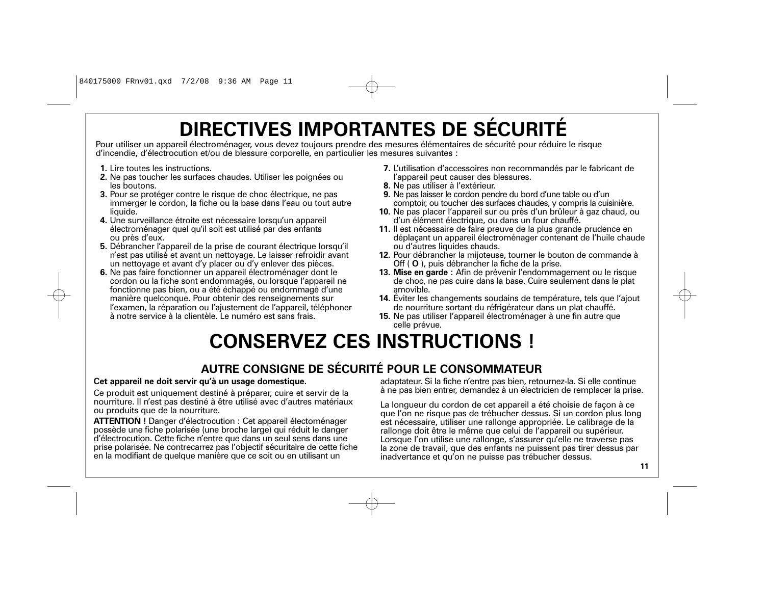840175000 FRnv01.qxd 7/2/08 9:36 AM Page 11

### **DIRECTIVES IMPORTANTES DE SÉCURITÉ**

Pour utiliser un appareil électroménager, vous devez toujours prendre des mesures élémentaires de sécurité pour réduire le risque d'incendie, d'électrocution et/ou de blessure corporelle, en particulier les mesures suivantes :

- **1.** Lire toutes les instructions.
- **2.** Ne pas toucher les surfaces chaudes. Utiliser les poignées ou les boutons.
- **3.** Pour se protéger contre le risque de choc électrique, ne pas immerger le cordon, la fiche ou la base dans l'eau ou tout autre liquide.
- **4.** Une surveillance étroite est nécessaire lorsqu'un appareil électroménager quel qu'il soit est utilisé par des enfants ou près d'eux.
- **5.** Débrancher l'appareil de la prise de courant électrique lorsqu'il <sup>n</sup>'est pas utilisé et avant un nettoyage. Le laisser refroidir avant un nettoyage et avant d'y placer ou d'y enlever des pièces.
- **6.** Ne pas faire fonctionner un appareil électroménager dont le cordon ou la fiche sont endommagés, ou lorsque l'appareil ne fonctionne pas bien, ou a été échappé ou endommagé d'une manière quelconque. Pour obtenir des renseignements sur l'examen, la réparation ou l'ajustement de l'appareil, téléphoner à notre service à la clientèle. Le numéro est sans frais.
- **7.** L'utilisation d'accessoires non recommandés par le fabricant de l'appareil peut causer des blessures.
- **8.** Ne pas utiliser à l'extérieur.
- **9.** Ne pas laisser le cordon pendre du bord d'une table ou d'un comptoir, ou toucher des surfaces chaudes, y compris la cuisinière.
- **10.** Ne pas placer l'appareil sur ou près d'un brûleur à gaz chaud, ou d'un élément électrique, ou dans un four chauffé.
- **11.** Il est nécessaire de faire preuve de la plus grande prudence en déplaçant un appareil électroménager contenant de l'huile chaude ou d'autres liquides chauds.
- **12.** Pour débrancher la mijoteuse, tourner le bouton de commande à Off ( **O** ), puis débrancher la fiche de la prise.
- **13. Mise en garde :** Afin de prévenir l'endommagement ou le risque de choc, ne pas cuire dans la base. Cuire seulement dans le plat amovible.
- **14.** Éviter les changements soudains de température, tels que l'ajout de nourriture sortant du réfrigérateur dans un plat chauffé.
- **15.** Ne pas utiliser l'appareil électroménager à une fin autre que celle prévue.

### **CONSERVEZ CES INSTRUCTIONS !**

### **AUTRE CONSIGNE DE SÉCURITÉ POUR LE CONSOMMATEUR**

#### **Cet appareil ne doit servir qu'à un usage domestique.**

Ce produit est uniquement destiné à préparer, cuire et servir de la nourriture. Il n'est pas destiné à être utilisé avec d'autres matériaux ou produits que de la nourriture.

**ATTENTION !** Danger d'électrocution : Cet appareil électoménager possède une fiche polarisée (une broche large) qui réduit le danger d'électrocution. Cette fiche n'entre que dans un seul sens dans une prise polarisée. Ne contrecarrez pas l'objectif sécuritaire de cette fiche en la modifiant de quelque manière que ce soit ou en utilisant un

adaptateur. Si la fiche n'entre pas bien, retournez-la. Si elle continue à ne pas bien entrer, demandez à un électricien de remplacer la prise.

La longueur du cordon de cet appareil a été choisie de façon à ce que l'on ne risque pas de trébucher dessus. Si un cordon plus long est nécessaire, utiliser une rallonge appropriée. Le calibrage de la rallonge doit être le même que celui de l'appareil ou supérieur. Lorsque l'on utilise une rallonge, s'assurer qu'elle ne traverse pas la zone de travail, que des enfants ne puissent pas tirer dessus par inadvertance et qu'on ne puisse pas trébucher dessus.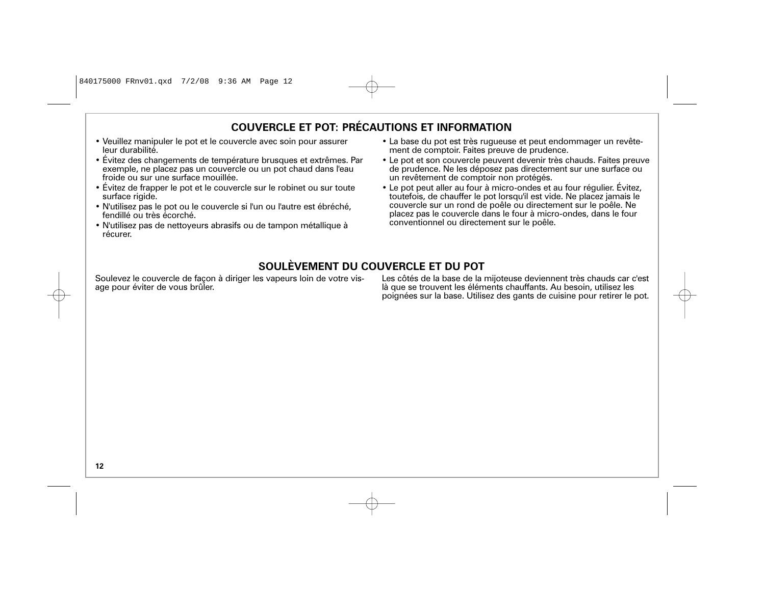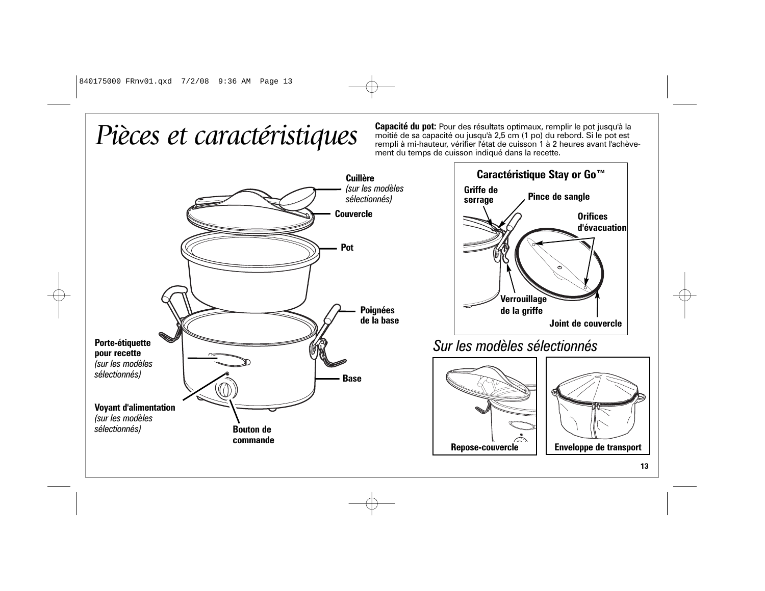840175000 FRnv01.qxd 7/2/08 9:36 AM Page 13

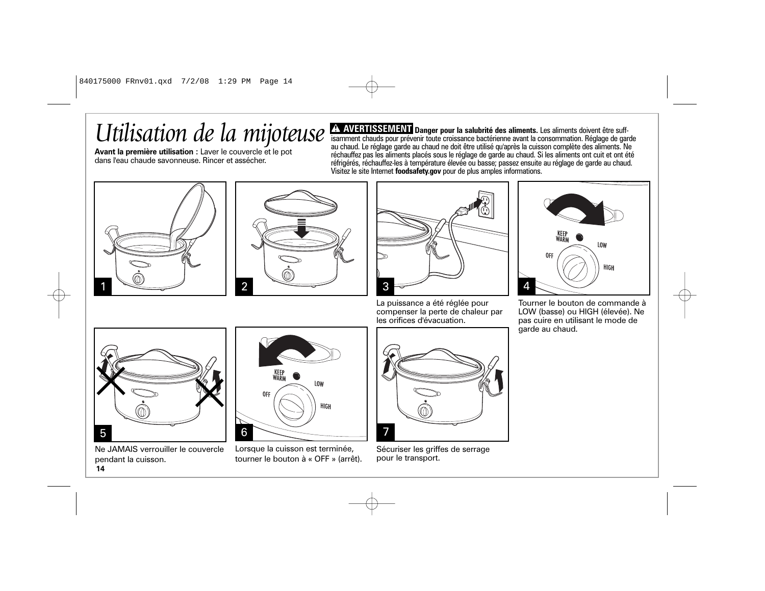**Avant la première utilisation :** Laver le couvercle et le pot dans l'eau chaude savonneuse. Rincer et assécher.

 $Utilisation de la mini-  
markes aliments disjointé, with a simple  
number of the original data. Let "figure" are a real. Let "edge" game" and the odd set" is a real and not. Let "edge" game" to the crossance bacterienne avant la consommation. Réglage de garde  
have the maximum line of the original data. Let "edge" game can change a real one of the utility of the original data. The$ réchauffez pas les aliments placés sous le réglage de garde au chaud. Si les aliments ont cuit et ont été réfrigérés, réchauffez-les à température élevée ou basse; passez ensuite au réglage de garde au chaud. Visitez le site Internet **foodsafety.gov** pour de plus amples informations.







La puissance a été réglée pour compenser la perte de chaleur par les orifices d'évacuation.



Tourner le bouton de commande à LOW (basse) ou HIGH (élevée). Ne pas cuire en utilisant le mode de garde au chaud.



**14** Ne JAMAIS verrouiller le couvercle pendant la cuisson.



Lorsque la cuisson est terminée, tourner le bouton à « OFF » (arrêt).



Sécuriser les griffes de serrage pour le transport.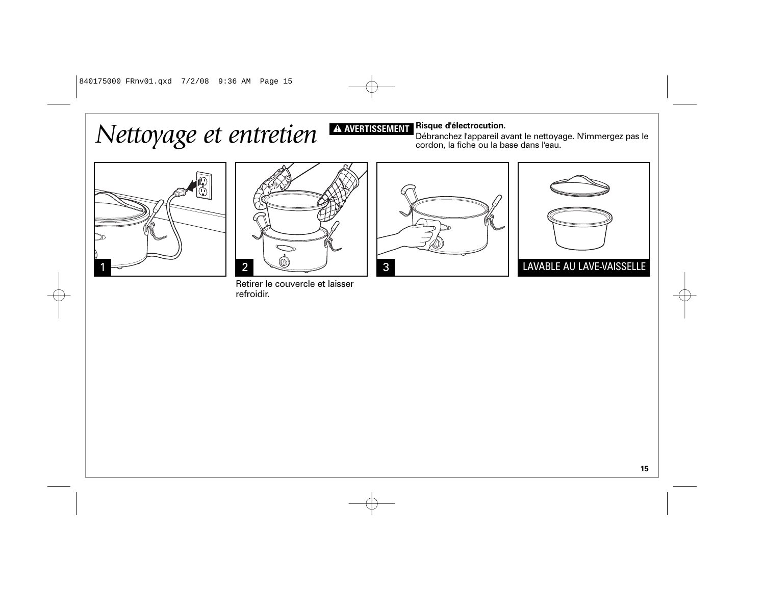840175000 FRnv01.qxd 7/2/08 9:36 AM Page 15

*Nettoyage et entretien* **RAINGRER ENCOLL ENCORET DE DEBRACHER DE CORPORT DE CORPORT DE CORPORT DE CORPORT DE CORPORT DE CORPORT DE CORPORT DE CORPORT DE CORPORT DE CORPORT DE CORPORT DE CORPORT DE CORPORT DE CORPORT DE CO** 





Retirer le couvercle et laisser refroidir.



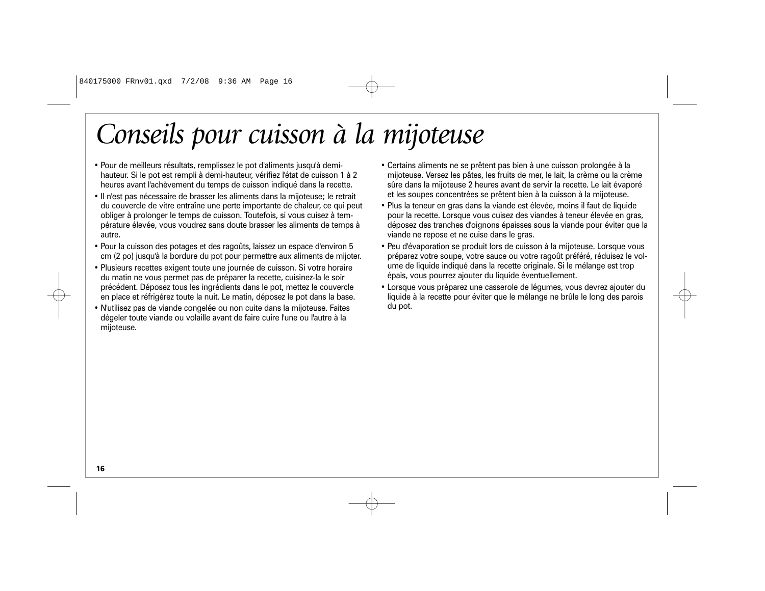## *Conseils pour cuisson à la mijoteuse*

- Pour de meilleurs résultats, remplissez le pot d'aliments jusqu'à demihauteur. Si le pot est rempli à demi-hauteur, vérifiez l'état de cuisson 1 à 2 heures avant l'achèvement du temps de cuisson indiqué dans la recette.
- Il n'est pas nécessaire de brasser les aliments dans la mijoteuse; le retrait du couvercle de vitre entraîne une perte importante de chaleur, ce qui peut obliger à prolonger le temps de cuisson. Toutefois, si vous cuisez à température élevée, vous voudrez sans doute brasser les aliments de temps à autre.
- Pour la cuisson des potages et des ragoûts, laissez un espace d'environ 5 cm (2 po) jusqu'à la bordure du pot pour permettre aux aliments de mijoter.
- Plusieurs recettes exigent toute une journée de cuisson. Si votre horaire du matin ne vous permet pas de préparer la recette, cuisinez-la le soir précédent. Déposez tous les ingrédients dans le pot, mettez le couvercle en place et réfrigérez toute la nuit. Le matin, déposez le pot dans la base.
- N'utilisez pas de viande congelée ou non cuite dans la mijoteuse. Faites dégeler toute viande ou volaille avant de faire cuire l'une ou l'autre à la mijoteuse.
- Certains aliments ne se prêtent pas bien à une cuisson prolongée à la mijoteuse. Versez les pâtes, les fruits de mer, le lait, la crème ou la crème sûre dans la mijoteuse 2 heures avant de servir la recette. Le lait évaporé et les soupes concentrées se prêtent bien à la cuisson à la mijoteuse.
- Plus la teneur en gras dans la viande est élevée, moins il faut de liquide pour la recette. Lorsque vous cuisez des viandes à teneur élevée en gras, déposez des tranches d'oignons épaisses sous la viande pour éviter que la viande ne repose et ne cuise dans le gras.
- Peu d'évaporation se produit lors de cuisson à la mijoteuse. Lorsque vous préparez votre soupe, votre sauce ou votre ragoût préféré, réduisez le volume de liquide indiqué dans la recette originale. Si le mélange est trop épais, vous pourrez ajouter du liquide éventuellement.
- Lorsque vous préparez une casserole de légumes, vous devrez ajouter du liquide à la recette pour éviter que le mélange ne brûle le long des parois du pot.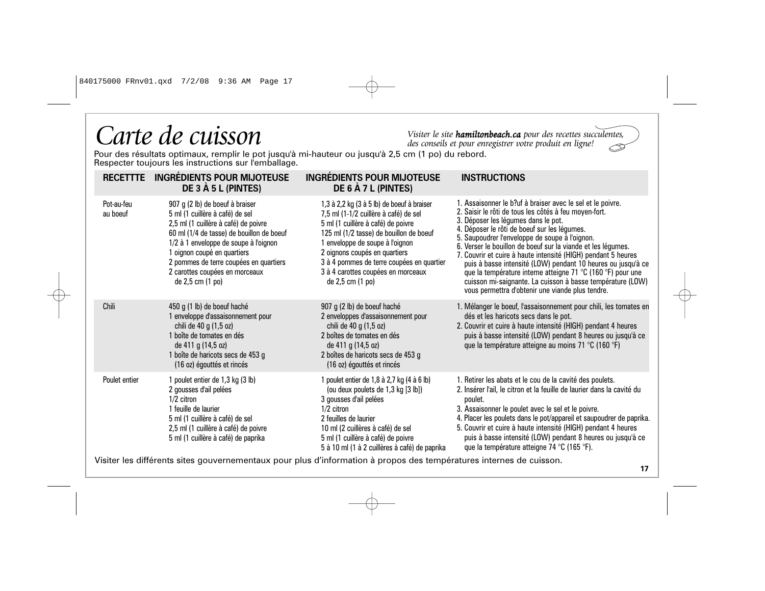#### *Carte de cuisson* **RECETTTE INGRÉDIENTS POUR MIJOTEUSE INGRÉDIENTS POUR MIJOTEUSE INSTRUCTIONS DE 3 À 5 L (PINTES) DE 6 À 7 L (PINTES)** Pot-au-feu 907 g (2 lb) de boeuf à braiser 1,3 à 2,2 kg (3 à 5 lb) de boeuf à braiser au boeuf 5 ml (1 cuillère à café) de sel 7,5 ml (1-1/2 cuillère à café) de sel 2,5 ml (1 cuillère à café) de poivre 5 ml (1 cuillère à café) de poivre<br>5 ml (1/2 tasse) de bouillon de boeuf 125 ml (1/2 tasse) de bouillon de boeuf 60 ml (1/4 de tasse) de bouillon de boeuf 1/2 à 1 enveloppe de soupe à l'oignon 1 enveloppe de soupe à l'oignon 1 oignon coupé en quartiers 2 oignons coupés en quartiers 2 pommes de terre coupées en quartiers 3 à 4 pommes de terre coupées en quartier 2 carottes coupées en morceaux 3 à 4 carottes coupées en morceaux de 2,5 cm (1 po) de 2,5 cm (1 po) Chili 450 g (1 lb) de boeuf haché 907 g (2 lb) de boeuf haché 907 g (2 lb) de boeuf haché<br>1 enveloppe d'assaisonnement pour 2 enveloppes d'assaisonnement 2 enveloppes d'assaisonnement pour chili de 40 g (1,5 oz) chili de 40 g (1,5 oz) 1 boîte de tomates en dés 2 boîtes de tomates en dés de 411 g (14,5 oz) de 411 g (14,5 oz)<br>1 boîte de haricots secs de 453 g de 420 de haricots 2 boîtes de haricots secs de 453 g (16 oz) égouttés et rincés (16 oz) égouttés et rincés Poulet entier 1 poulet entier de 1.3 kg (3 lb) 1 poulet entier de 1.8 à 2.7 kg (4 à 6 lb) 2 gousses d'ail pelées (ou deux poulets de 1,3 kg [3 lb]) 1/2 citron 1/2 citron 1/2 citron 1/2 citron 1/2 citron 1/2 citron 1/2 citron 1/2 citron 1/2 citron 1 feuille de laurier 5 ml (1 cuillère à café) de sel 2 feuilles de laurier 2,5 ml (1 cuillère à café) de poivre 10 ml (2 cuillères à café) de sel 5 ml (1 cuillère à café) de paprika 5 ml (1 cuillère à café) de poivre 5 à 10 ml (1 à 2 cuillères à café) de paprika Pour des résultats optimaux, remplir le pot jusqu'à mi-hauteur ou jusqu'à 2,5 cm (1 po) du rebord. Respecter toujours les instructions sur l'emballage. *Visiter le site hamiltonbeach.ca pour des recettes succulentes, des conseils et pour enregistrer votre produit en ligne!* 1. Assaisonner le b?uf à braiser avec le sel et le poivre. 2. Saisir le rôti de tous les côtés à feu moyen-fort. 3. Déposer les légumes dans le pot. 4. Déposer le rôti de boeuf sur les légumes. 5. Saupoudrer l'enveloppe de soupe à l'oignon. 6. Verser le bouillon de boeuf sur la viande et les légumes. 7. Couvrir et cuire à haute intensité (HIGH) pendant 5 heures puis à basse intensité (LOW) pendant 10 heures ou jusqu'à ce que la température interne atteigne 71 °C (160 °F) pour une cuisson mi-saignante. La cuisson à basse température (LOW) vous permettra d'obtenir une viande plus tendre. 1. Mélanger le boeuf, l'assaisonnement pour chili, les tomates en dés et les haricots secs dans le pot. 2. Couvrir et cuire à haute intensité (HIGH) pendant 4 heures puis à basse intensité (LOW) pendant 8 heures ou jusqu'à ce que la température atteigne au moins 71 °C (160 °F) 1. Retirer les abats et le cou de la cavité des poulets. 2. Insérer l'ail, le citron et la feuille de laurier dans la cavité du poulet. 3. Assaisonner le poulet avec le sel et le poivre. 4. Placer les poulets dans le pot/appareil et saupoudrer de paprika. 5. Couvrir et cuire à haute intensité (HIGH) pendant 4 heures puis à basse intensité (LOW) pendant 8 heures ou jusqu'à ce que la température atteigne 74 °C (165 °F).

Visiter les différents sites gouvernementaux pour plus d'information à propos des températures internes de cuisson.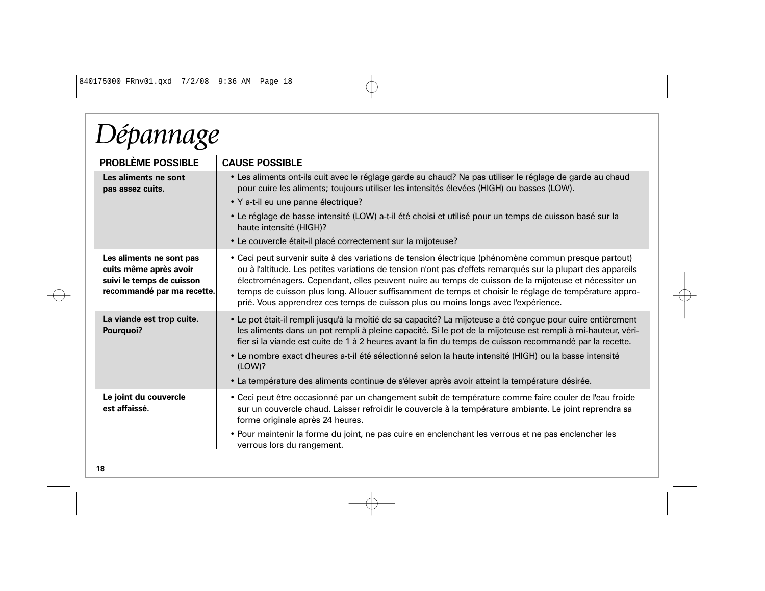| )épannage                                                                                                     |                                                                                                                                                                                                                                                                                                                                                                                                                                                                                                                                                              |  |
|---------------------------------------------------------------------------------------------------------------|--------------------------------------------------------------------------------------------------------------------------------------------------------------------------------------------------------------------------------------------------------------------------------------------------------------------------------------------------------------------------------------------------------------------------------------------------------------------------------------------------------------------------------------------------------------|--|
| <b>PROBLÈME POSSIBLE</b><br><b>CAUSE POSSIBLE</b>                                                             |                                                                                                                                                                                                                                                                                                                                                                                                                                                                                                                                                              |  |
| Les aliments ne sont<br>pas assez cuits.                                                                      | • Les aliments ont-ils cuit avec le réglage garde au chaud? Ne pas utiliser le réglage de garde au chaud<br>pour cuire les aliments; toujours utiliser les intensités élevées (HIGH) ou basses (LOW).<br>• Y a-t-il eu une panne électrique?<br>• Le réglage de basse intensité (LOW) a-t-il été choisi et utilisé pour un temps de cuisson basé sur la<br>haute intensité (HIGH)?<br>• Le couvercle était il placé correctement sur la mijoteuse?                                                                                                           |  |
| Les aliments ne sont pas<br>cuits même après avoir<br>suivi le temps de cuisson<br>recommandé par ma recette. | • Ceci peut survenir suite à des variations de tension électrique (phénomène commun presque partout)<br>ou à l'altitude. Les petites variations de tension n'ont pas d'effets remarqués sur la plupart des appareils<br>électroménagers. Cependant, elles peuvent nuire au temps de cuisson de la mijoteuse et nécessiter un<br>temps de cuisson plus long. Allouer suffisamment de temps et choisir le réglage de température appro-<br>prié. Vous apprendrez ces temps de cuisson plus ou moins longs avec l'expérience.                                   |  |
| La viande est trop cuite.<br>Pourquoi?                                                                        | · Le pot était-il rempli jusqu'à la moitié de sa capacité? La mijoteuse a été conçue pour cuire entièrement<br>les aliments dans un pot rempli à pleine capacité. Si le pot de la mijoteuse est rempli à mi-hauteur, véri-<br>fier si la viande est cuite de 1 à 2 heures avant la fin du temps de cuisson recommandé par la recette.<br>• Le nombre exact d'heures a-t-il été sélectionné selon la haute intensité (HIGH) ou la basse intensité<br>(LOW)?<br>• La température des aliments continue de s'élever après avoir atteint la température désirée. |  |
| Le joint du couvercle<br>est affaissé.                                                                        | • Ceci peut être occasionné par un changement subit de température comme faire couler de l'eau froide<br>sur un couvercle chaud. Laisser refroidir le couvercle à la température ambiante. Le joint reprendra sa<br>forme originale après 24 heures.<br>• Pour maintenir la forme du joint, ne pas cuire en enclenchant les verrous et ne pas enclencher les<br>verrous lors du rangement.                                                                                                                                                                   |  |
| 18                                                                                                            |                                                                                                                                                                                                                                                                                                                                                                                                                                                                                                                                                              |  |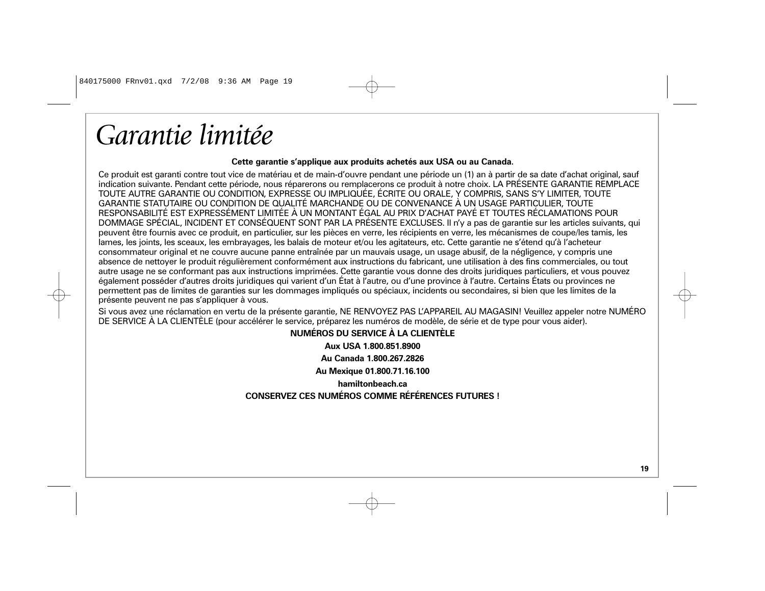840175000 FRnv01.qxd 7/2/08 9:36 AM Page 19

## *Garantie limitée*

#### **Cette garantie s'applique aux produits achetés aux USA ou au Canada.**

Ce produit est garanti contre tout vice de matériau et de main-d'ouvre pendant une période un (1) an à partir de sa date d'achat original, sauf<br>indication suivante. Pendant cette période, nous réparerons ou remplacerons ce GARANTIE STATUTAIRE OU CONDITION DE QUALITÉ MARCHANDE OU DE CONVENANCE À UN USAGE PARTICULIER, TOUTE RESPONSABILITÉ EST EXPRESSÉMENT LIMITÉE À UN MONTANT ÉGAL AU PRIX D'ACHAT PAYÉ ET TOUTES RÉCLAMATIONS POUR DOMMAGE SPÉCIAL, INCIDENT ET CONSÉQUENT SONT PAR LA PRÉSENTE EXCLUSES. Il n'y a pas de garantie sur les articles suivants, qui peuvent être fournis avec ce produit, en particulier, sur les pièces en verre, les récipients en verre, les mécanismes de coupe/les tamis, les lames, les joints, les sceaux, les embrayages, les balais de moteur et/ou les agitateurs, etc. Cette garantie ne s'étend qu'à l'acheteur consommateur original et ne couvre aucune panne entraînée par un mauvais usage, un usage abusif, de la négligence, y compris une absence de nettoyer le produit régulièrement conformément aux instructions du fabricant, une utilisation à des fins commerciales, ou tout autre usage ne se conformant pas aux instructions imprimées. Cette garantie vous donne des droits juridiques particuliers, et vous pouvez<br>également posséder d'autres droits juridiques qui varient d'un État à l'autre, ou d' permettent pas de limites de garanties sur les dommages impliqués ou spéciaux, incidents ou secondaires, si bien que les limites de la présente peuvent ne pas s'appliquer à vous.

Si vous avez une réclamation en vertu de la présente garantie, NE RENVOYEZ PAS L'APPAREIL AU MAGASIN! Veuillez appeler notre NUMÉRO<br>DE SERVICE À LA CLIENTÈLE (pour accélérer le service, préparez les numéros de modèle, de s

#### **NUMÉROS DU SERVICE À LA CLIENTÈLE**

**Aux USA 1.800.851.8900 Au Canada 1.800.267.2826 Au Mexique 01.800.71.16.100 hamiltonbeach.ca CONSERVEZ CES NUMÉROS COMME RÉFÉRENCES FUTURES !**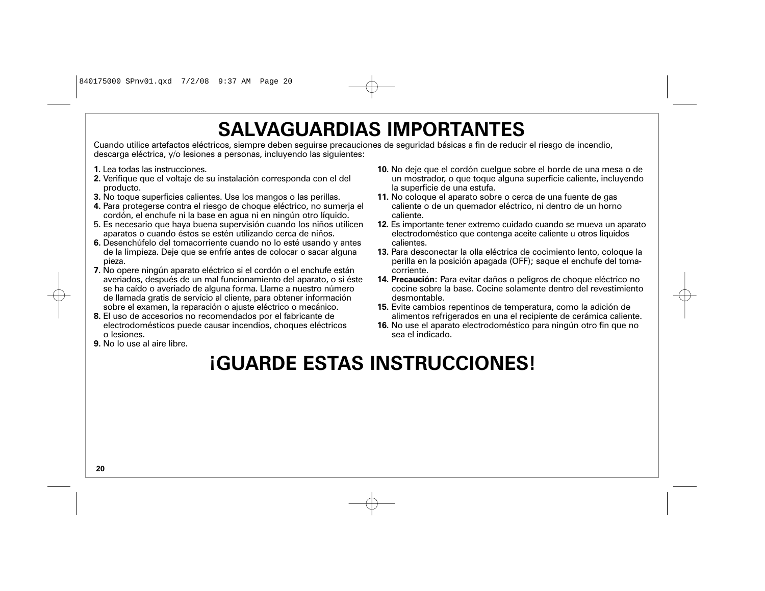### **SALVAGUARDIAS IMPORTANTES**

Cuando utilice artefactos eléctricos, siempre deben seguirse precauciones de seguridad básicas a fin de reducir el riesgo de incendio, descarga eléctrica, y/o lesiones a personas, incluyendo las siguientes:

- **1.** Lea todas las instrucciones.
- **2.** Verifique que el voltaje de su instalación corresponda con el del producto.
- **3.** No toque superficies calientes. Use los mangos o las perillas.
- **4.** Para protegerse contra el riesgo de choque eléctrico, no sumerja el cordón, el enchufe ni la base en agua ni en ningún otro líquido.
- 5. Es necesario que haya buena supervisión cuando los niños utilicen aparatos o cuando éstos se estén utilizando cerca de niños.
- **6.** Desenchúfelo del tomacorriente cuando no lo esté usando y antes de la limpieza. Deje que se enfríe antes de colocar o sacar alguna pieza.
- **7.** No opere ningún aparato eléctrico si el cordón o el enchufe están averiados, después de un mal funcionamiento del aparato, o si éste se ha caído o averiado de alguna forma. Llame a nuestro número de llamada gratis de servicio al cliente, para obtener información sobre el examen, la reparación o ajuste eléctrico o mecánico.
- **8.** El uso de accesorios no recomendados por el fabricante de electrodomésticos puede causar incendios, choques eléctricos o lesiones.
- **9.** No lo use al aire libre.
- **10.** No deje que el cordón cuelgue sobre el borde de una mesa o de un mostrador, o que toque alguna superficie caliente, incluyendo la superficie de una estufa.
- **11.** No coloque el aparato sobre o cerca de una fuente de gas caliente o de un quemador eléctrico, ni dentro de un horno caliente.
- **12.** Es importante tener extremo cuidado cuando se mueva un aparato electrodoméstico que contenga aceite caliente u otros líquidos calientes.
- **13.** Para desconectar la olla eléctrica de cocimiento lento, coloque la perilla en la posición apagada (OFF); saque el enchufe del tomacorriente.
- **14. Precaución:** Para evitar daños o peligros de choque eléctrico no cocine sobre la base. Cocine solamente dentro del revestimiento desmontable.
- **15.** Evite cambios repentinos de temperatura, como la adición de alimentos refrigerados en una el recipiente de cerámica caliente.
- **16.** No use el aparato electrodoméstico para ningún otro fin que no sea el indicado.

### **¡GUARDE ESTAS INSTRUCCIONES!**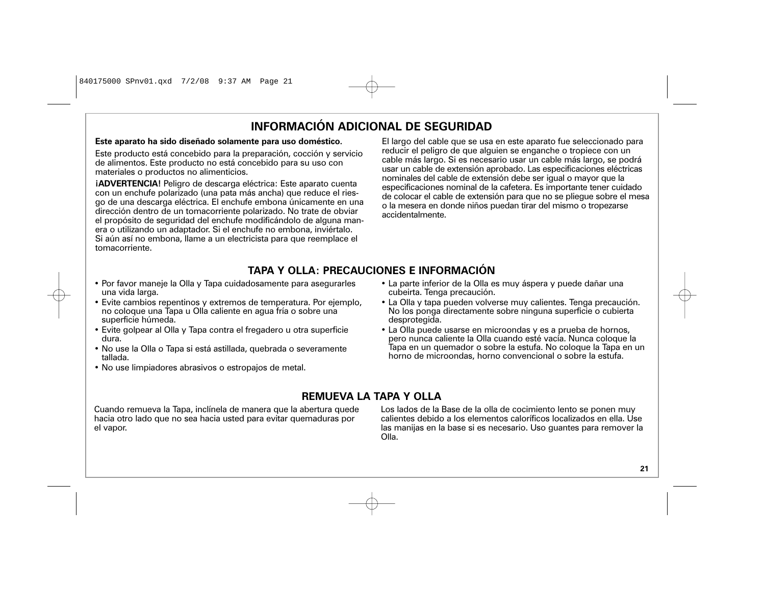| INFORMACIÓN ADICIONAL DE SEGURIDAD                                                                                                                                                                                                                                                                                                                                                                                                                                                                                                                                                                                 |                                                                                                                                                                                                                                                                                                                                                                                                                                                                                                                                                                                               |  |
|--------------------------------------------------------------------------------------------------------------------------------------------------------------------------------------------------------------------------------------------------------------------------------------------------------------------------------------------------------------------------------------------------------------------------------------------------------------------------------------------------------------------------------------------------------------------------------------------------------------------|-----------------------------------------------------------------------------------------------------------------------------------------------------------------------------------------------------------------------------------------------------------------------------------------------------------------------------------------------------------------------------------------------------------------------------------------------------------------------------------------------------------------------------------------------------------------------------------------------|--|
| Este aparato ha sido diseñado solamente para uso doméstico.<br>Este producto está concebido para la preparación, cocción y servicio<br>de alimentos. Este producto no está concebido para su uso con<br>materiales o productos no alimenticios.<br><b>iADVERTENCIA!</b> Peligro de descarga eléctrica: Este aparato cuenta<br>con un enchufe polarizado (una pata más ancha) que reduce el ries-<br>go de una descarga eléctrica. El enchufe embona únicamente en una<br>dirección dentro de un tomacorriente polarizado. No trate de obviar<br>el propósito de seguridad del enchufe modificándolo de alguna man- | El largo del cable que se usa en este aparato fue seleccionado para<br>reducir el peligro de que alguien se enganche o tropiece con un<br>cable más largo. Si es necesario usar un cable más largo, se podrá<br>usar un cable de extensión aprobado. Las especificaciones eléctricas<br>nominales del cable de extensión debe ser igual o mayor que la<br>especificaciones nominal de la cafetera. Es importante tener cuidado<br>de colocar el cable de extensión para que no se pliegue sobre el mesa<br>o la mesera en donde niños puedan tirar del mismo o tropezarse<br>accidentalmente. |  |
| era o utilizando un adaptador. Si el enchufe no embona, inviértalo.<br>Si aún así no embona, llame a un electricista para que reemplace el<br>tomacorriente.<br>TAPA Y OLLA: PRECAUCIONES E INFORMACIÓN                                                                                                                                                                                                                                                                                                                                                                                                            |                                                                                                                                                                                                                                                                                                                                                                                                                                                                                                                                                                                               |  |
| • Por favor maneje la Olla y Tapa cuidadosamente para asegurarles                                                                                                                                                                                                                                                                                                                                                                                                                                                                                                                                                  | • La parte inferior de la Olla es muy áspera y puede dañar una                                                                                                                                                                                                                                                                                                                                                                                                                                                                                                                                |  |
| una vida larga.                                                                                                                                                                                                                                                                                                                                                                                                                                                                                                                                                                                                    | cubeirta. Tenga precaución.                                                                                                                                                                                                                                                                                                                                                                                                                                                                                                                                                                   |  |
| s Eutre complica reportings u outropeos de tenenorature. Des signants                                                                                                                                                                                                                                                                                                                                                                                                                                                                                                                                              | e La Ollo u tana muadan yalvarea muu saliantaa. Tanga nyaasusión                                                                                                                                                                                                                                                                                                                                                                                                                                                                                                                              |  |

- Evite cambios repentinos y extremos de temperatura. Por ejemplo, no coloque una Tapa u Olla caliente en agua fría o sobre una superficie húmeda.
- Evite golpear al Olla y Tapa contra el fregadero u otra superficie dura.
- No use la Olla o Tapa si está astillada, quebrada o severamente tallada.
- No use limpiadores abrasivos o estropajos de metal.
- La Olla y tapa pueden volverse muy calientes. Tenga precaución. No los ponga directamente sobre ninguna superficie o cubierta desprotegida.
- La Olla puede usarse en microondas y es a prueba de hornos, pero nunca caliente la Olla cuando esté vacía. Nunca coloque la Tapa en un quemador o sobre la estufa. No coloque la Tapa en un horno de microondas, horno convencional o sobre la estufa.

### **REMUEVA LA TAPA Y OLLA**

Cuando remueva la Tapa, inclínela de manera que la abertura quede hacia otro lado que no sea hacia usted para evitar quemaduras por el vapor.

Los lados de la Base de la olla de cocimiento lento se ponen muy calientes debido a los elementos caloríficos localizados en ella. Use las manijas en la base si es necesario. Uso guantes para remover la Olla.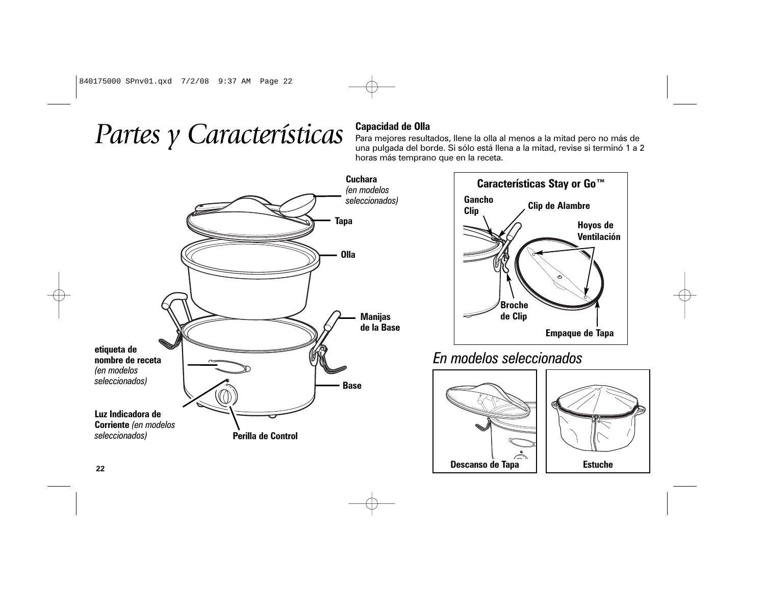# *Partes y Características* **Canacidad de Olla**<br>
una pulgada del borde. Si sólo está llena a la mitad, revise si terminó 1 a 2

horas más temprano que en la receta.





### *En modelos seleccionados*

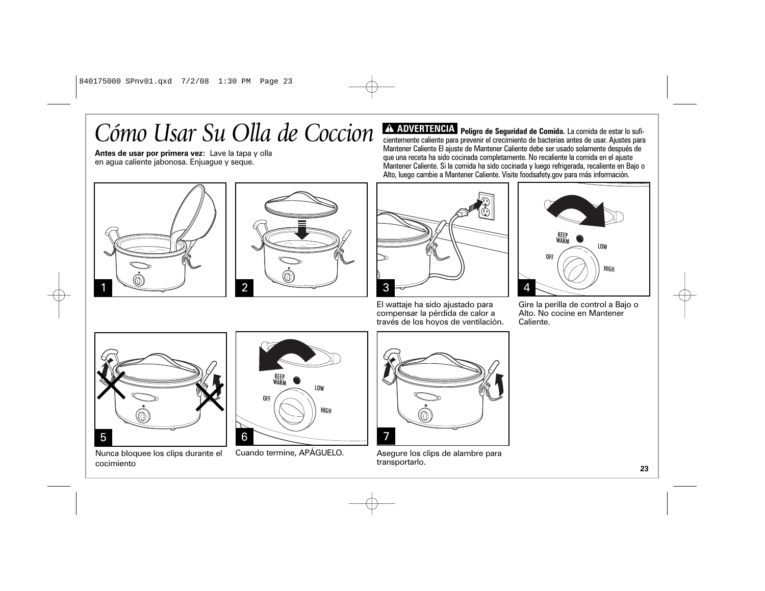840175000 SPnv01.qxd 7/2/08 1:30 PM Page 23

### Cómo Usar Su Olla de Coccion **de Advalla de Seguridad de Comida.** La comida de estar lo sufi- (para prevenir el crecimiento de bacterias antes de usar. Ajustes para

**Antes de usar por primera vez:** Lave la tapa y olla en agua caliente jabonosa. Enjuague y seque.





Mantener Caliente El ajuste de Mantener Caliente debe ser usado solamente después de que una receta ha sido cocinada completamente. No recaliente la comida en el ajuste Mantener Caliente. Si la comida ha sido cocinada y luego refrigerada, recaliente en Bajo o Alto, luego cambie a Mantener Caliente. Visite foodsafety.gov para más información.



El wattaje ha sido ajustado para compensar la pérdida de calor a través de los hoyos de ventilación.



Gire la perilla de control a Bajo o Alto. No cocine en Mantener Caliente.



Nunca bloquee los clips durante el cocimiento



Cuando termine, APÁGUELO.



Asegure los clips de alambre para transportarlo.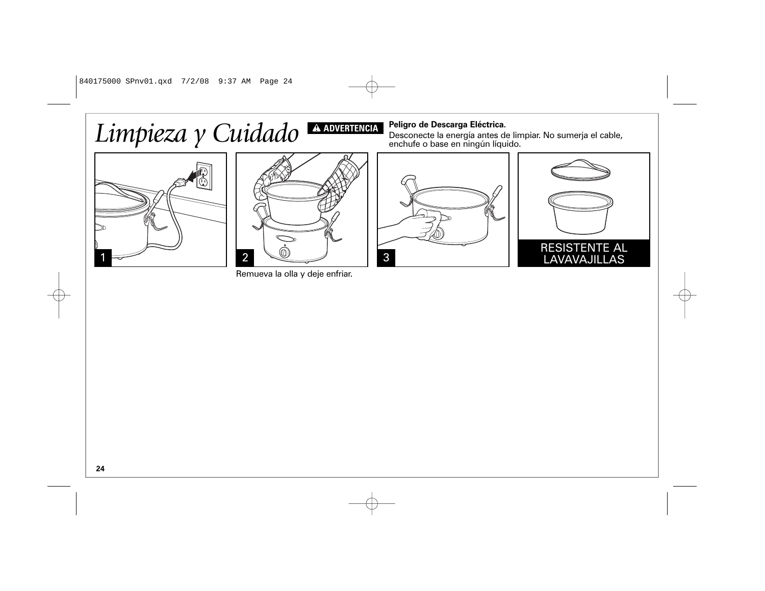Limpieza y Cuidado <sup>MADVERTENCIA</sup>





### **Peligro de Descarga Eléctrica.**

Desconecte la energía antes de limpiar. No sumerja el cable, enchufe o base en ningún líquido.



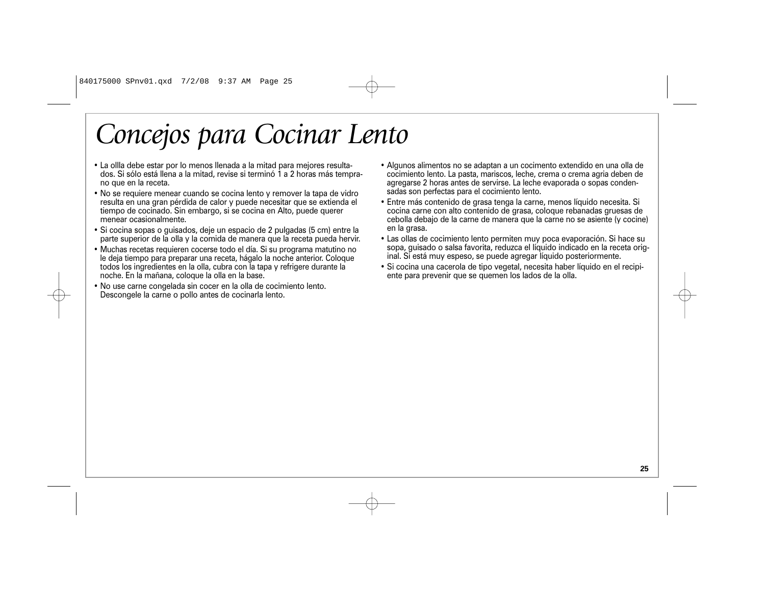## *Concejos para Cocinar Lento*

- La ollla debe estar por lo menos llenada a la mitad para mejores resultados. Si sólo está llena a la mitad, revise si terminó 1 a 2 horas más temprano que en la receta.
- No se requiere menear cuando se cocina lento y remover la tapa de vidro resulta en una gran pérdida de calor y puede necesitar que se extienda el tiempo de cocinado. Sin embargo, si se cocina en Alto, puede querer menear ocasionalmente.
- Si cocina sopas o guisados, deje un espacio de 2 pulgadas (5 cm) entre la parte superior de la olla y la comida de manera que la receta pueda hervir.
- Muchas recetas requieren cocerse todo el día. Si su programa matutino no le deja tiempo para preparar una receta, hágalo la noche anterior. Coloque todos los ingredientes en la olla, cubra con la tapa y refrigere durante la noche. En la mañana, coloque la olla en la base.
- No use carne congelada sin cocer en la olla de cocimiento lento. Descongele la carne o pollo antes de cocinarla lento.
- Algunos alimentos no se adaptan a un cocimento extendido en una olla de cocimiento lento. La pasta, mariscos, leche, crema o crema agria deben de agregarse 2 horas antes de servirse. La leche evaporada o sopas condensadas son perfectas para el cocimiento lento.
- Entre más contenido de grasa tenga la carne, menos líquido necesita. Si cocina carne con alto contenido de grasa, coloque rebanadas gruesas de cebolla debajo de la carne de manera que la carne no se asiente (y cocine) en la grasa.
- Las ollas de cocimiento lento permiten muy poca evaporación. Si hace su sopa, guisado o salsa favorita, reduzca el líquido indicado en la receta original. Si está muy espeso, se puede agregar líquido posteriormente.
- Si cocina una cacerola de tipo vegetal, necesita haber líquido en el recipiente para prevenir que se quemen los lados de la olla.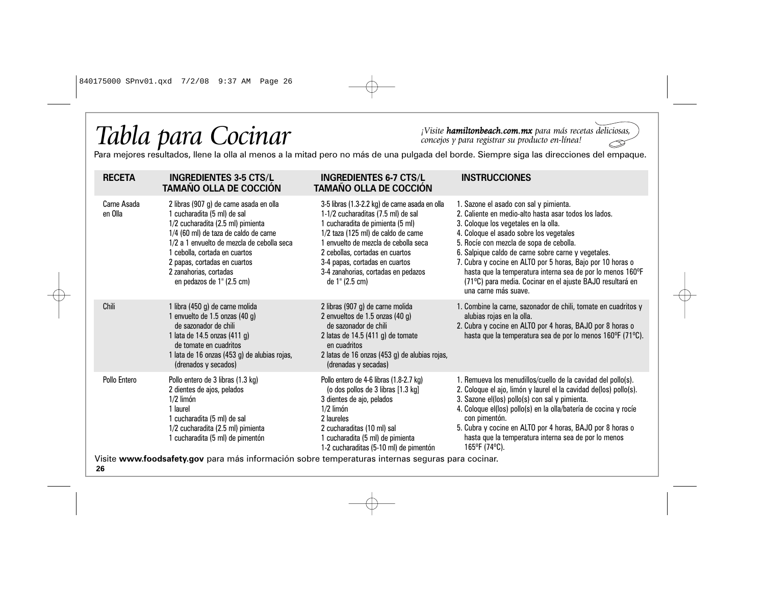## *Tabla para Cocinar*

*¡Visite hamiltonbeach.com.mx para más recetas deliciosas, concejos y para registrar su producto en-línea!*

Para mejores resultados, llene la olla al menos a la mitad pero no más de una pulgada del borde. Siempre siga las direcciones del empaque.

| <b>RECETA</b>          | <b>INGREDIENTES 3-5 CTS/L</b><br><b>TAMAÑO OLLA DE COCCIÓN</b>                                                                                                                                                                                                                                                             | <b>INGREDIENTES 6-7 CTS/L</b><br><b>TAMAÑO OLLA DE COCCIÓN</b>                                                                                                                                                                                                                                                                        | <b>INSTRUCCIONES</b>                                                                                                                                                                                                                                                                                                                                                                                                                                                                                  |
|------------------------|----------------------------------------------------------------------------------------------------------------------------------------------------------------------------------------------------------------------------------------------------------------------------------------------------------------------------|---------------------------------------------------------------------------------------------------------------------------------------------------------------------------------------------------------------------------------------------------------------------------------------------------------------------------------------|-------------------------------------------------------------------------------------------------------------------------------------------------------------------------------------------------------------------------------------------------------------------------------------------------------------------------------------------------------------------------------------------------------------------------------------------------------------------------------------------------------|
| Carne Asada<br>en Olla | 2 libras (907 g) de carne asada en olla<br>1 cucharadita (5 ml) de sal<br>1/2 cucharadita (2.5 ml) pimienta<br>1/4 (60 ml) de taza de caldo de carne<br>1/2 a 1 envuelto de mezcla de cebolla seca<br>1 cebolla, cortada en cuartos<br>2 papas, cortadas en cuartos<br>2 zanahorias, cortadas<br>en pedazos de 1" (2.5 cm) | 3-5 libras (1.3-2.2 kg) de carne asada en olla<br>1-1/2 cucharaditas (7.5 ml) de sal<br>1 cucharadita de pimienta (5 ml)<br>1/2 taza (125 ml) de caldo de carne<br>l envuelto de mezcla de cebolla seca<br>2 cebollas, cortadas en cuartos<br>3-4 papas, cortadas en cuartos<br>3-4 zanahorias, cortadas en pedazos<br>de 1" (2.5 cm) | 1. Sazone el asado con sal y pimienta.<br>2. Caliente en medio-alto hasta asar todos los lados.<br>3. Coloque los vegetales en la olla.<br>4. Coloque el asado sobre los vegetales<br>5. Rocíe con mezcla de sopa de cebolla.<br>6. Salpique caldo de carne sobre carne y vegetales.<br>7. Cubra y cocine en ALTO por 5 horas, Bajo por 10 horas o<br>hasta que la temperatura interna sea de por lo menos 160°F<br>(71°C) para media. Cocinar en el ajuste BAJO resultará en<br>una carne más suave. |
| Chili                  | 1 libra (450 g) de carne molida<br>envuelto de 1.5 onzas (40 g)<br>de sazonador de chili<br>1 lata de 14.5 onzas (411 g)<br>de tomate en cuadritos<br>1 lata de 16 onzas (453 g) de alubias rojas,<br>(drenados y secados)                                                                                                 | 2 libras (907 g) de carne molida<br>2 envueltos de 1.5 onzas (40 g)<br>de sazonador de chili<br>2 latas de 14.5 (411 g) de tomate<br>en cuadritos<br>2 latas de 16 onzas (453 g) de alubias rojas,<br>(drenadas y secadas)                                                                                                            | 1. Combine la carne, sazonador de chili, tomate en cuadritos y<br>alubias rojas en la olla.<br>2. Cubra y cocine en ALTO por 4 horas, BAJO por 8 horas o<br>hasta que la temperatura sea de por lo menos 160°F (71°C).                                                                                                                                                                                                                                                                                |
| Pollo Entero           | Pollo entero de 3 libras (1.3 kg)<br>2 dientes de ajos, pelados<br>$1/2$ limón<br>1 laurel<br>1 cucharadita (5 ml) de sal<br>1/2 cucharadita (2.5 ml) pimienta<br>1 cucharadita (5 ml) de pimentón                                                                                                                         | Pollo entero de 4-6 libras (1.8-2.7 kg)<br>(o dos pollos de 3 libras [1.3 kg]<br>3 dientes de ajo, pelados<br>$1/2$ limón<br>2 laureles<br>2 cucharaditas (10 ml) sal<br>cucharadita (5 ml) de pimienta<br>1-2 cucharaditas (5-10 ml) de pimentón                                                                                     | 1. Remueva los menudillos/cuello de la cavidad del pollo(s).<br>2. Coloque el ajo, limón y laurel el la cavidad de(los) pollo(s).<br>3. Sazone el(los) pollo(s) con sal y pimienta.<br>4. Coloque el(los) pollo(s) en la olla/batería de cocina y rocíe<br>con pimentón.<br>5. Cubra y cocine en ALTO por 4 horas, BAJO por 8 horas o<br>hasta que la temperatura interna sea de por lo menos<br>165°F (74°C).                                                                                        |
| 26                     | Visite www.foodsafety.gov para más información sobre temperaturas internas seguras para cocinar.                                                                                                                                                                                                                           |                                                                                                                                                                                                                                                                                                                                       |                                                                                                                                                                                                                                                                                                                                                                                                                                                                                                       |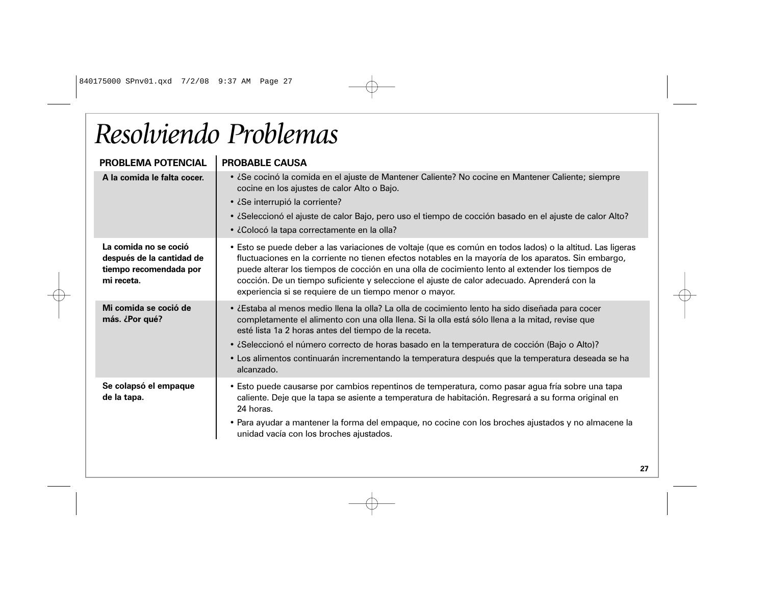## *Resolviendo Problemas*

| PROBLEMA POTENCIAL                                                                         | <b>PROBABLE CAUSA</b>                                                                                                                                                                                                                                                                                                                                                                                                                                                          |
|--------------------------------------------------------------------------------------------|--------------------------------------------------------------------------------------------------------------------------------------------------------------------------------------------------------------------------------------------------------------------------------------------------------------------------------------------------------------------------------------------------------------------------------------------------------------------------------|
| A la comida le falta cocer.                                                                | & ¿Se cocinó la comida en el ajuste de Mantener Caliente? No cocine en Mantener Caliente; siempre<br>cocine en los ajustes de calor Alto o Bajo.<br>· ¿Se interrupió la corriente?<br>* ¿Seleccionó el ajuste de calor Bajo, pero uso el tiempo de cocción basado en el ajuste de calor Alto?<br>· ¿Colocó la tapa correctamente en la olla?                                                                                                                                   |
| La comida no se coció<br>después de la cantidad de<br>tiempo recomendada por<br>mi receta. | · Esto se puede deber a las variaciones de voltaje (que es común en todos lados) o la altitud. Las ligeras<br>fluctuaciones en la corriente no tienen efectos notables en la mayoría de los aparatos. Sin embargo,<br>puede alterar los tiempos de cocción en una olla de cocimiento lento al extender los tiempos de<br>cocción. De un tiempo suficiente y seleccione el ajuste de calor adecuado. Aprenderá con la<br>experiencia si se requiere de un tiempo menor o mayor. |
| Mi comida se coció de<br>más. ¿Por qué?                                                    | • ¿Estaba al menos medio llena la olla? La olla de cocimiento lento ha sido diseñada para cocer<br>completamente el alimento con una olla llena. Si la olla está sólo llena a la mitad, revise que<br>esté lista 1a 2 horas antes del tiempo de la receta.<br>• ¿Seleccionó el número correcto de horas basado en la temperatura de cocción (Bajo o Alto)?<br>· Los alimentos continuarán incrementando la temperatura después que la temperatura deseada se ha<br>alcanzado.  |
| Se colapsó el empaque<br>de la tapa.                                                       | · Esto puede causarse por cambios repentinos de temperatura, como pasar agua fría sobre una tapa<br>caliente. Deje que la tapa se asiente a temperatura de habitación. Regresará a su forma original en<br>24 horas.<br>· Para ayudar a mantener la forma del empaque, no cocine con los broches ajustados y no almacene la<br>unidad vacía con los broches ajustados.                                                                                                         |
|                                                                                            | 27                                                                                                                                                                                                                                                                                                                                                                                                                                                                             |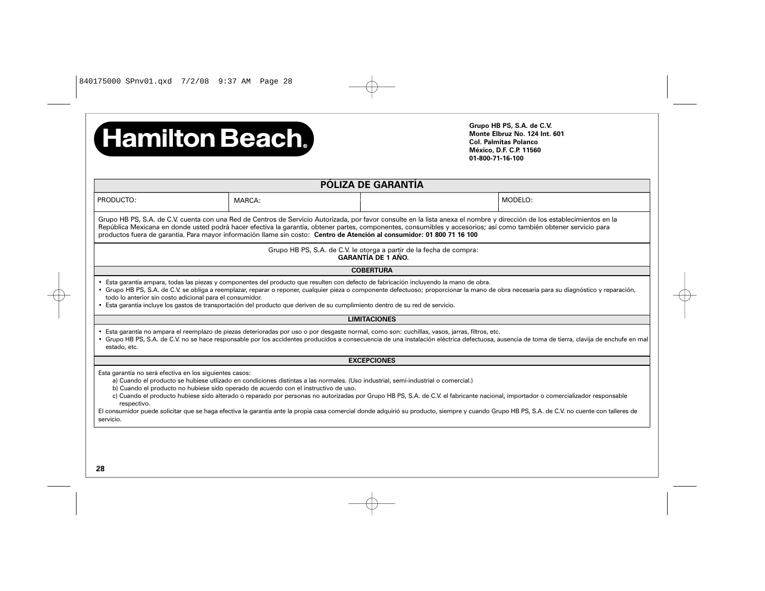## (Hamilton Beach.)

**Grupo HB PS, S.A. de C.V. Monte Elbruz No. 124 Int. 601 Col. Palmitas Polanco México, D.F. C.P. 11560 01-800-71-16-100**

|                                                                                                                                                                                                                                                                                                                                                                                                                                                                                                                                                                                                                                                                                                       |  | <b>POLIZA DE GARANTIA</b>                                                                                                                                                                                                                                                                                                                     |                                                                                                                                                                                                |
|-------------------------------------------------------------------------------------------------------------------------------------------------------------------------------------------------------------------------------------------------------------------------------------------------------------------------------------------------------------------------------------------------------------------------------------------------------------------------------------------------------------------------------------------------------------------------------------------------------------------------------------------------------------------------------------------------------|--|-----------------------------------------------------------------------------------------------------------------------------------------------------------------------------------------------------------------------------------------------------------------------------------------------------------------------------------------------|------------------------------------------------------------------------------------------------------------------------------------------------------------------------------------------------|
| MODELO:<br>PRODUCTO:<br>MARCA:                                                                                                                                                                                                                                                                                                                                                                                                                                                                                                                                                                                                                                                                        |  |                                                                                                                                                                                                                                                                                                                                               |                                                                                                                                                                                                |
| productos fuera de garantía. Para mayor información llame sin costo: Centro de Atención al consumidor: 01 800 71 16 100                                                                                                                                                                                                                                                                                                                                                                                                                                                                                                                                                                               |  | Grupo HB PS, S.A. de C.V. cuenta con una Red de Centros de Servicio Autorizada, por favor consulte en la lista anexa el nombre y dirección de los establecimientos en la<br>República Mexicana en donde usted podrá hacer efectiva la garantía, obtener partes, componentes, consumibles y accesorios; así como también obtener servicio para |                                                                                                                                                                                                |
|                                                                                                                                                                                                                                                                                                                                                                                                                                                                                                                                                                                                                                                                                                       |  | Grupo HB PS, S.A. de C.V. le otorga a partir de la fecha de compra:<br><b>GARANTÍA DE 1 AÑO.</b>                                                                                                                                                                                                                                              |                                                                                                                                                                                                |
| <b>COBERTURA</b>                                                                                                                                                                                                                                                                                                                                                                                                                                                                                                                                                                                                                                                                                      |  |                                                                                                                                                                                                                                                                                                                                               |                                                                                                                                                                                                |
| · Esta garantía ampara, todas las piezas y componentes del producto que resulten con defecto de fabricación incluyendo la mano de obra.<br>· Grupo HB PS, S.A. de C.V. se obliga a reemplazar, reparar o reponer, cualquier pieza o componente defectuoso; proporcionar la mano de obra necesaria para su diagnóstico y reparación,<br>todo lo anterior sin costo adicional para el consumidor.<br>• Esta garantía incluye los gastos de transportación del producto que deriven de su cumplimiento dentro de su red de servicio.<br><b>LIMITACIONES</b>                                                                                                                                              |  |                                                                                                                                                                                                                                                                                                                                               |                                                                                                                                                                                                |
| estado, etc.                                                                                                                                                                                                                                                                                                                                                                                                                                                                                                                                                                                                                                                                                          |  | · Esta garantía no ampara el reemplazo de piezas deterioradas por uso o por desgaste normal, como son: cuchillas, vasos, jarras, filtros, etc.                                                                                                                                                                                                | · Grupo HB PS, S.A. de C.V. no se hace responsable por los accidentes producidos a consecuencia de una instalación eléctrica defectuosa, ausencia de toma de tierra, clavija de enchufe en mal |
|                                                                                                                                                                                                                                                                                                                                                                                                                                                                                                                                                                                                                                                                                                       |  | <b>EXCEPCIONES</b>                                                                                                                                                                                                                                                                                                                            |                                                                                                                                                                                                |
| Esta garantía no será efectiva en los siguientes casos:<br>a) Cuando el producto se hubiese utlizado en condiciones distintas a las normales. (Uso industrial, semi-industrial o comercial.)<br>b) Cuando el producto no hubiese sido operado de acuerdo con el instructivo de uso.<br>c) Cuando el producto hubiese sido alterado o reparado por personas no autorizadas por Grupo HB PS, S.A. de C.V. el fabricante nacional, importador o comercializador responsable<br>respectivo.<br>El consumidor puede solicitar que se haga efectiva la garantía ante la propia casa comercial donde adquirió su producto, siempre y cuando Grupo HB PS, S.A. de C.V. no cuente con talleres de<br>servicio. |  |                                                                                                                                                                                                                                                                                                                                               |                                                                                                                                                                                                |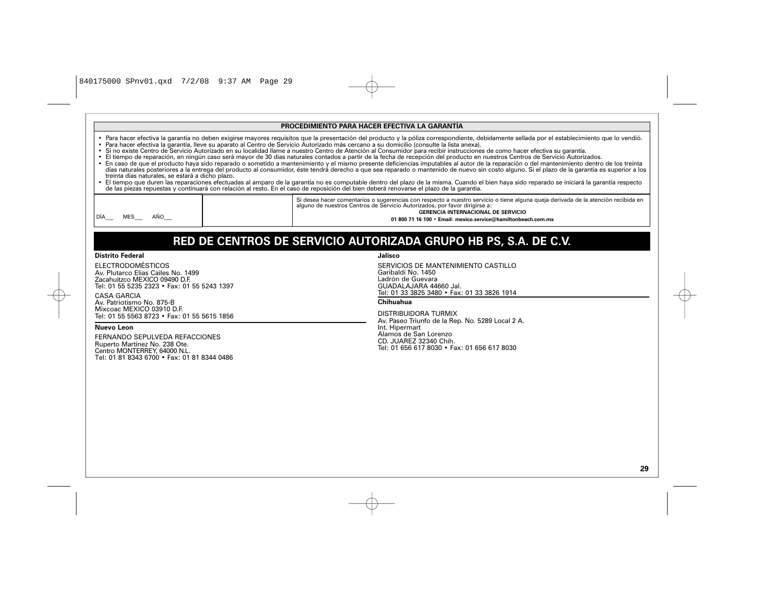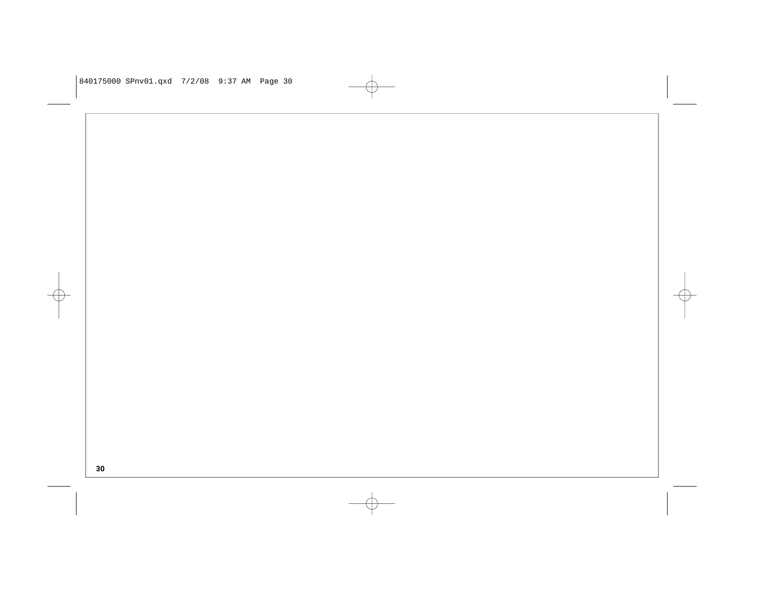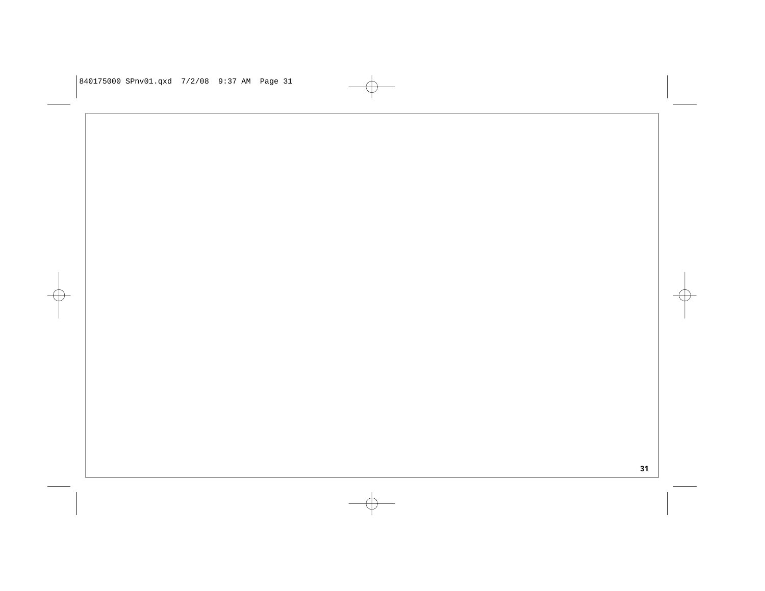